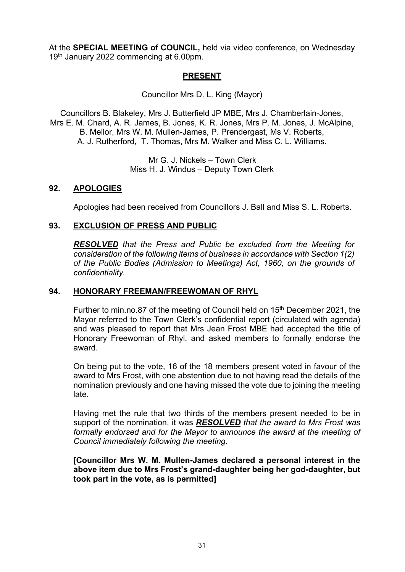At the **SPECIAL MEETING of COUNCIL,** held via video conference, on Wednesday 19th January 2022 commencing at 6.00pm.

## **PRESENT**

Councillor Mrs D. L. King (Mayor)

Councillors B. Blakeley, Mrs J. Butterfield JP MBE, Mrs J. Chamberlain-Jones, Mrs E. M. Chard, A. R. James, B. Jones, K. R. Jones, Mrs P. M. Jones, J. McAlpine, B. Mellor, Mrs W. M. Mullen-James, P. Prendergast, Ms V. Roberts, A. J. Rutherford, T. Thomas, Mrs M. Walker and Miss C. L. Williams.

> Mr G. J. Nickels – Town Clerk Miss H. J. Windus – Deputy Town Clerk

### **92. APOLOGIES**

Apologies had been received from Councillors J. Ball and Miss S. L. Roberts.

#### **93. EXCLUSION OF PRESS AND PUBLIC**

*RESOLVED that the Press and Public be excluded from the Meeting for consideration of the following items of business in accordance with Section 1(2) of the Public Bodies (Admission to Meetings) Act, 1960, on the grounds of confidentiality.*

#### **94. HONORARY FREEMAN/FREEWOMAN OF RHYL**

Further to min.no.87 of the meeting of Council held on 15<sup>th</sup> December 2021, the Mayor referred to the Town Clerk's confidential report (circulated with agenda) and was pleased to report that Mrs Jean Frost MBE had accepted the title of Honorary Freewoman of Rhyl, and asked members to formally endorse the award.

On being put to the vote, 16 of the 18 members present voted in favour of the award to Mrs Frost, with one abstention due to not having read the details of the nomination previously and one having missed the vote due to joining the meeting late.

Having met the rule that two thirds of the members present needed to be in support of the nomination, it was *RESOLVED that the award to Mrs Frost was formally endorsed and for the Mayor to announce the award at the meeting of Council immediately following the meeting.*

**[Councillor Mrs W. M. Mullen-James declared a personal interest in the above item due to Mrs Frost's grand-daughter being her god-daughter, but took part in the vote, as is permitted]**